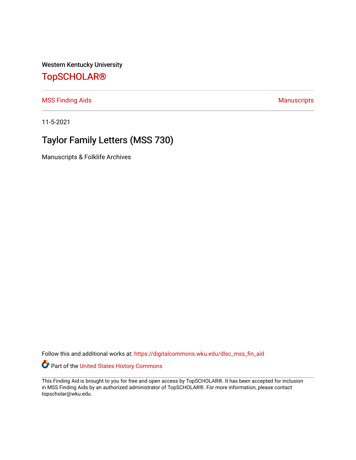Western Kentucky University

# [TopSCHOLAR®](https://digitalcommons.wku.edu/)

[MSS Finding Aids](https://digitalcommons.wku.edu/dlsc_mss_fin_aid) **Manuscripts** [Manuscripts](https://digitalcommons.wku.edu/dlsc_mss) **Manuscripts** 

11-5-2021

# Taylor Family Letters (MSS 730)

Manuscripts & Folklife Archives

Follow this and additional works at: [https://digitalcommons.wku.edu/dlsc\\_mss\\_fin\\_aid](https://digitalcommons.wku.edu/dlsc_mss_fin_aid?utm_source=digitalcommons.wku.edu%2Fdlsc_mss_fin_aid%2F4983&utm_medium=PDF&utm_campaign=PDFCoverPages) 

Part of the [United States History Commons](http://network.bepress.com/hgg/discipline/495?utm_source=digitalcommons.wku.edu%2Fdlsc_mss_fin_aid%2F4983&utm_medium=PDF&utm_campaign=PDFCoverPages) 

This Finding Aid is brought to you for free and open access by TopSCHOLAR®. It has been accepted for inclusion in MSS Finding Aids by an authorized administrator of TopSCHOLAR®. For more information, please contact topscholar@wku.edu.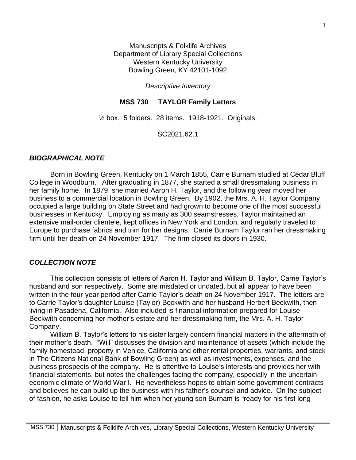Manuscripts & Folklife Archives Department of Library Special Collections Western Kentucky University Bowling Green, KY 42101-1092

#### *Descriptive Inventory*

## **MSS 730 TAYLOR Family Letters**

 $\frac{1}{2}$  box. 5 folders. 28 items. 1918-1921. Originals.

SC2021.62.1

# *BIOGRAPHICAL NOTE*

Born in Bowling Green, Kentucky on 1 March 1855, Carrie Burnam studied at Cedar Bluff College in Woodburn. After graduating in 1877, she started a small dressmaking business in her family home. In 1879, she married Aaron H. Taylor, and the following year moved her business to a commercial location in Bowling Green. By 1902, the Mrs. A. H. Taylor Company occupied a large building on State Street and had grown to become one of the most successful businesses in Kentucky. Employing as many as 300 seamstresses, Taylor maintained an extensive mail-order clientele, kept offices in New York and London, and regularly traveled to Europe to purchase fabrics and trim for her designs. Carrie Burnam Taylor ran her dressmaking firm until her death on 24 November 1917. The firm closed its doors in 1930.

### *COLLECTION NOTE*

This collection consists of letters of Aaron H. Taylor and William B. Taylor, Carrie Taylor's husband and son respectively. Some are misdated or undated, but all appear to have been written in the four-year period after Carrie Taylor's death on 24 November 1917. The letters are to Carrie Taylor's daughter Louise (Taylor) Beckwith and her husband Herbert Beckwith, then living in Pasadena, California. Also included is financial information prepared for Louise Beckwith concerning her mother's estate and her dressmaking firm, the Mrs. A. H. Taylor Company.

William B. Taylor's letters to his sister largely concern financial matters in the aftermath of their mother's death. "Will" discusses the division and maintenance of assets (which include the family homestead, property in Venice, California and other rental properties, warrants, and stock in The Citizens National Bank of Bowling Green) as well as investments, expenses, and the business prospects of the company. He is attentive to Louise's interests and provides her with financial statements, but notes the challenges facing the company, especially in the uncertain economic climate of World War I. He nevertheless hopes to obtain some government contracts and believes he can build up the business with his father's counsel and advice. On the subject of fashion, he asks Louise to tell him when her young son Burnam is "ready for his first long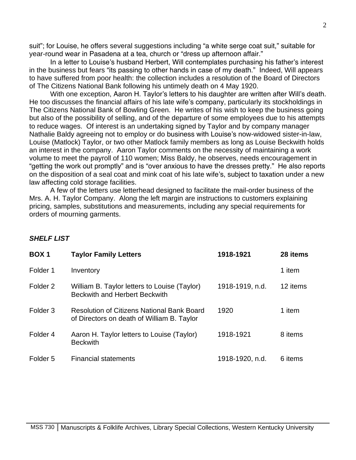suit"; for Louise, he offers several suggestions including "a white serge coat suit," suitable for year-round wear in Pasadena at a tea, church or "dress up afternoon affair."

In a letter to Louise's husband Herbert, Will contemplates purchasing his father's interest in the business but fears "its passing to other hands in case of my death." Indeed, Will appears to have suffered from poor health: the collection includes a resolution of the Board of Directors of The Citizens National Bank following his untimely death on 4 May 1920.

With one exception, Aaron H. Taylor's letters to his daughter are written after Will's death. He too discusses the financial affairs of his late wife's company, particularly its stockholdings in The Citizens National Bank of Bowling Green. He writes of his wish to keep the business going but also of the possibility of selling, and of the departure of some employees due to his attempts to reduce wages. Of interest is an undertaking signed by Taylor and by company manager Nathalie Baldy agreeing not to employ or do business with Louise's now-widowed sister-in-law, Louise (Matlock) Taylor, or two other Matlock family members as long as Louise Beckwith holds an interest in the company. Aaron Taylor comments on the necessity of maintaining a work volume to meet the payroll of 110 women; Miss Baldy, he observes, needs encouragement in "getting the work out promptly" and is "over anxious to have the dresses pretty." He also reports on the disposition of a seal coat and mink coat of his late wife's, subject to taxation under a new law affecting cold storage facilities.

A few of the letters use letterhead designed to facilitate the mail-order business of the Mrs. A. H. Taylor Company. Along the left margin are instructions to customers explaining pricing, samples, substitutions and measurements, including any special requirements for orders of mourning garments.

#### *SHELF LIST*

| BOX <sub>1</sub>    | <b>Taylor Family Letters</b>                                                                    | 1918-1921       | 28 items |
|---------------------|-------------------------------------------------------------------------------------------------|-----------------|----------|
| Folder 1            | Inventory                                                                                       |                 | 1 item   |
| Folder <sub>2</sub> | William B. Taylor letters to Louise (Taylor)<br><b>Beckwith and Herbert Beckwith</b>            | 1918-1919, n.d. | 12 items |
| Folder <sub>3</sub> | <b>Resolution of Citizens National Bank Board</b><br>of Directors on death of William B. Taylor | 1920            | 1 item   |
| Folder <sub>4</sub> | Aaron H. Taylor letters to Louise (Taylor)<br><b>Beckwith</b>                                   | 1918-1921       | 8 items  |
| Folder <sub>5</sub> | <b>Financial statements</b>                                                                     | 1918-1920, n.d. | 6 items  |